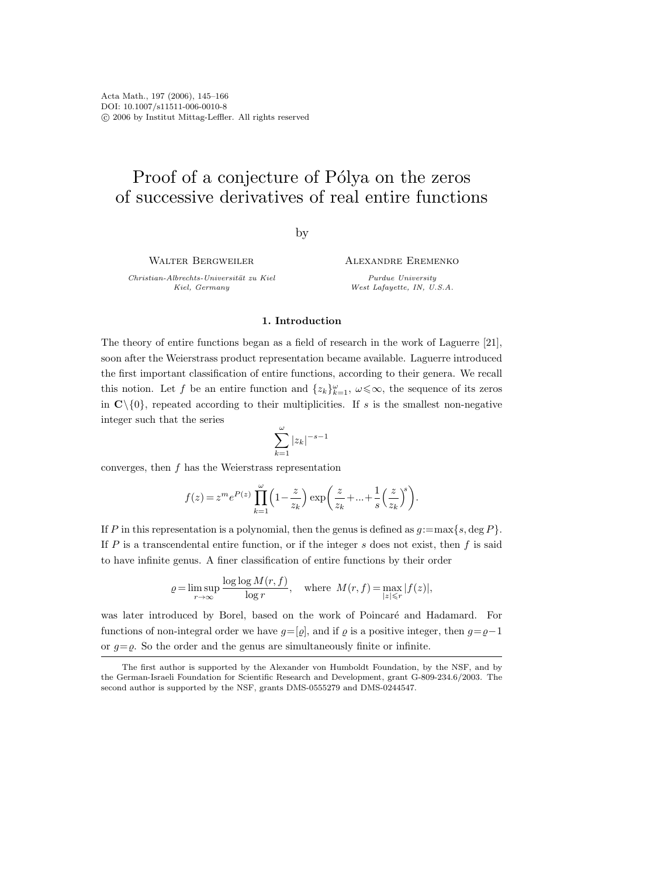# Proof of a conjecture of Pólya on the zeros of successive derivatives of real entire functions

## by

WALTER BERGWEILER

Christian-Albrechts-Universität zu Kiel Kiel, Germany

Alexandre Eremenko

Purdue University West Lafayette, IN, U.S.A.

### 1. Introduction

The theory of entire functions began as a field of research in the work of Laguerre [21], soon after the Weierstrass product representation became available. Laguerre introduced the first important classification of entire functions, according to their genera. We recall this notion. Let f be an entire function and  $\{z_k\}_{k=1}^{\omega}$ ,  $\omega \leq \infty$ , the sequence of its zeros in  $\mathbb{C}\setminus\{0\}$ , repeated according to their multiplicities. If s is the smallest non-negative integer such that the series

$$
\sum_{k=1}^{\omega} |z_k|^{-s-1}
$$

converges, then  $f$  has the Weierstrass representation

$$
f(z) = z^m e^{P(z)} \prod_{k=1}^{\omega} \left( 1 - \frac{z}{z_k} \right) \exp\left( \frac{z}{z_k} + \dots + \frac{1}{s} \left( \frac{z}{z_k} \right)^s \right).
$$

If P in this representation is a polynomial, then the genus is defined as  $g:=\max\{s,\deg P\}.$ If  $P$  is a transcendental entire function, or if the integer  $s$  does not exist, then  $f$  is said to have infinite genus. A finer classification of entire functions by their order

$$
\varrho = \limsup_{r \to \infty} \frac{\log \log M(r, f)}{\log r}, \quad \text{where} \quad M(r, f) = \max_{|z| \le r} |f(z)|,
$$

was later introduced by Borel, based on the work of Poincaré and Hadamard. For functions of non-integral order we have  $g=[\varrho]$ , and if  $\varrho$  is a positive integer, then  $g=\varrho-1$ or  $g = \varrho$ . So the order and the genus are simultaneously finite or infinite.

The first author is supported by the Alexander von Humboldt Foundation, by the NSF, and by the German-Israeli Foundation for Scientific Research and Development, grant G-809-234.6/2003. The second author is supported by the NSF, grants DMS-0555279 and DMS-0244547.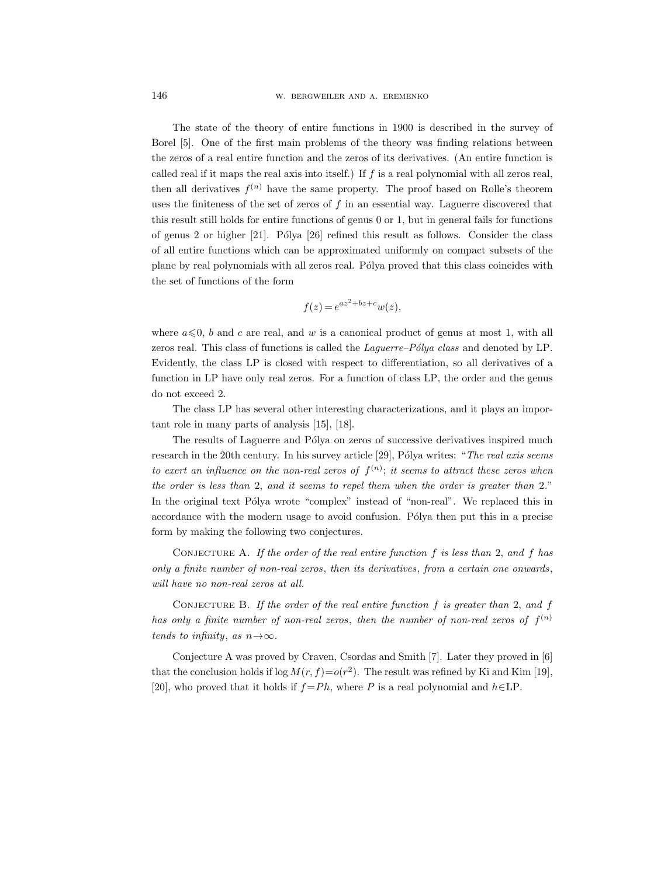The state of the theory of entire functions in 1900 is described in the survey of Borel [5]. One of the first main problems of the theory was finding relations between the zeros of a real entire function and the zeros of its derivatives. (An entire function is called real if it maps the real axis into itself.) If  $f$  is a real polynomial with all zeros real, then all derivatives  $f^{(n)}$  have the same property. The proof based on Rolle's theorem uses the finiteness of the set of zeros of  $f$  in an essential way. Laguerre discovered that this result still holds for entire functions of genus 0 or 1, but in general fails for functions of genus 2 or higher  $[21]$ . Pólya  $[26]$  refined this result as follows. Consider the class of all entire functions which can be approximated uniformly on compact subsets of the plane by real polynomials with all zeros real. Pólya proved that this class coincides with the set of functions of the form

$$
f(z) = e^{az^2 + bz + c} w(z),
$$

where  $a \leq 0$ , b and c are real, and w is a canonical product of genus at most 1, with all zeros real. This class of functions is called the *Laguerre–Pólya class* and denoted by  $LP$ . Evidently, the class LP is closed with respect to differentiation, so all derivatives of a function in LP have only real zeros. For a function of class LP, the order and the genus do not exceed 2.

The class LP has several other interesting characterizations, and it plays an important role in many parts of analysis [15], [18].

The results of Laguerre and Pólya on zeros of successive derivatives inspired much research in the 20th century. In his survey article [29], Pólya writes: "The real axis seems to exert an influence on the non-real zeros of  $f^{(n)}$ ; it seems to attract these zeros when the order is less than 2, and it seems to repel them when the order is greater than 2." In the original text Pólya wrote "complex" instead of "non-real". We replaced this in accordance with the modern usage to avoid confusion. Pólya then put this in a precise form by making the following two conjectures.

CONJECTURE A. If the order of the real entire function  $f$  is less than 2, and  $f$  has only a finite number of non-real zeros, then its derivatives, from a certain one onwards, will have no non-real zeros at all.

CONJECTURE B. If the order of the real entire function  $f$  is greater than 2, and  $f$ has only a finite number of non-real zeros, then the number of non-real zeros of  $f^{(n)}$ tends to infinity, as  $n \rightarrow \infty$ .

Conjecture A was proved by Craven, Csordas and Smith [7]. Later they proved in [6] that the conclusion holds if  $\log M(r, f) = o(r^2)$ . The result was refined by Ki and Kim [19], [20], who proved that it holds if  $f = Ph$ , where P is a real polynomial and  $h \in \text{LP}$ .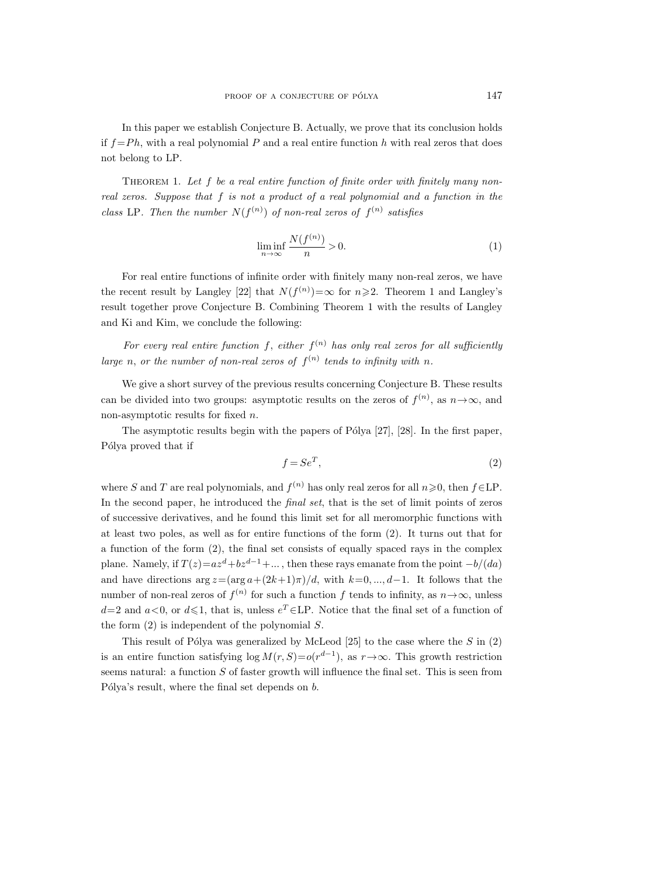In this paper we establish Conjecture B. Actually, we prove that its conclusion holds if  $f = Ph$ , with a real polynomial P and a real entire function h with real zeros that does not belong to LP.

THEOREM 1. Let f be a real entire function of finite order with finitely many nonreal zeros. Suppose that  $f$  is not a product of a real polynomial and a function in the class LP. Then the number  $N(f^{(n)})$  of non-real zeros of  $f^{(n)}$  satisfies

$$
\liminf_{n \to \infty} \frac{N(f^{(n)})}{n} > 0.
$$
\n(1)

For real entire functions of infinite order with finitely many non-real zeros, we have the recent result by Langley [22] that  $N(f^{(n)}) = \infty$  for  $n \ge 2$ . Theorem 1 and Langley's result together prove Conjecture B. Combining Theorem 1 with the results of Langley and Ki and Kim, we conclude the following:

For every real entire function f, either  $f^{(n)}$  has only real zeros for all sufficiently large n, or the number of non-real zeros of  $f^{(n)}$  tends to infinity with n.

We give a short survey of the previous results concerning Conjecture B. These results can be divided into two groups: asymptotic results on the zeros of  $f^{(n)}$ , as  $n \to \infty$ , and non-asymptotic results for fixed n.

The asymptotic results begin with the papers of Pólya  $[27]$ ,  $[28]$ . In the first paper, Pólya proved that if

$$
f = Se^T,\tag{2}
$$

where S and T are real polynomials, and  $f^{(n)}$  has only real zeros for all  $n\geqslant 0$ , then  $f\in\mathrm{LP}$ . In the second paper, he introduced the final set, that is the set of limit points of zeros of successive derivatives, and he found this limit set for all meromorphic functions with at least two poles, as well as for entire functions of the form (2). It turns out that for a function of the form (2), the final set consists of equally spaced rays in the complex plane. Namely, if  $T(z)=az^d+bz^{d-1}+\dots$ , then these rays emanate from the point  $-b/(da)$ and have directions  $\arg z = (\arg a + (2k+1)\pi)/d$ , with  $k=0, ..., d-1$ . It follows that the number of non-real zeros of  $f^{(n)}$  for such a function f tends to infinity, as  $n \to \infty$ , unless  $d=2$  and  $a<0$ , or  $d\leq 1$ , that is, unless  $e^T \in \mathsf{LP}$ . Notice that the final set of a function of the form  $(2)$  is independent of the polynomial S.

This result of Pólya was generalized by McLeod [25] to the case where the S in  $(2)$ is an entire function satisfying  $log M(r, S) = o(r^{d-1})$ , as  $r \to \infty$ . This growth restriction seems natural: a function  $S$  of faster growth will influence the final set. This is seen from Pólya's result, where the final set depends on  $b$ .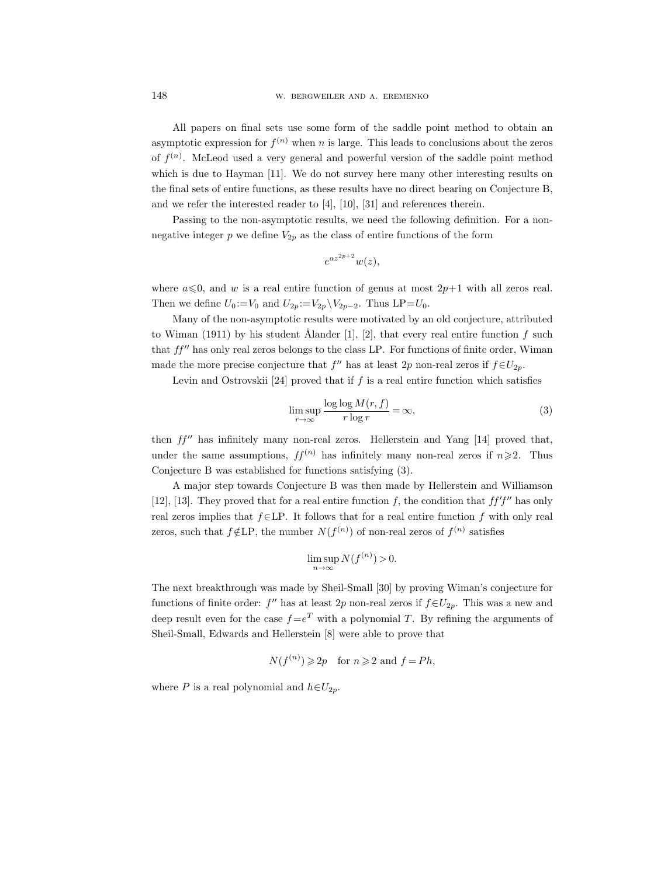All papers on final sets use some form of the saddle point method to obtain an asymptotic expression for  $f^{(n)}$  when n is large. This leads to conclusions about the zeros of  $f^{(n)}$ . McLeod used a very general and powerful version of the saddle point method which is due to Hayman [11]. We do not survey here many other interesting results on the final sets of entire functions, as these results have no direct bearing on Conjecture B, and we refer the interested reader to [4], [10], [31] and references therein.

Passing to the non-asymptotic results, we need the following definition. For a nonnegative integer p we define  $V_{2p}$  as the class of entire functions of the form

$$
e^{az^{2p+2}}w(z),
$$

where  $a \le 0$ , and w is a real entire function of genus at most  $2p+1$  with all zeros real. Then we define  $U_0 := V_0$  and  $U_{2p} := V_{2p} \setminus V_{2p-2}$ . Thus LP= $U_0$ .

Many of the non-asymptotic results were motivated by an old conjecture, attributed to Wiman (1911) by his student Ålander [1], [2], that every real entire function f such that  $ff''$  has only real zeros belongs to the class LP. For functions of finite order, Wiman made the more precise conjecture that  $f''$  has at least 2p non-real zeros if  $f \in U_{2p}$ .

Levin and Ostrovskii [24] proved that if  $f$  is a real entire function which satisfies

$$
\limsup_{r \to \infty} \frac{\log \log M(r, f)}{r \log r} = \infty,
$$
\n(3)

then  $ff''$  has infinitely many non-real zeros. Hellerstein and Yang [14] proved that, under the same assumptions,  $ff^{(n)}$  has infinitely many non-real zeros if  $n \geq 2$ . Thus Conjecture B was established for functions satisfying (3).

A major step towards Conjecture B was then made by Hellerstein and Williamson [12], [13]. They proved that for a real entire function f, the condition that  $ff'f''$  has only real zeros implies that  $f \in LP$ . It follows that for a real entire function f with only real zeros, such that  $f \notin LP$ , the number  $N(f^{(n)})$  of non-real zeros of  $f^{(n)}$  satisfies

$$
\limsup_{n \to \infty} N(f^{(n)}) > 0.
$$

The next breakthrough was made by Sheil-Small [30] by proving Wiman's conjecture for functions of finite order:  $f''$  has at least 2p non-real zeros if  $f \in U_{2p}$ . This was a new and deep result even for the case  $f = e^T$  with a polynomial T. By refining the arguments of Sheil-Small, Edwards and Hellerstein [8] were able to prove that

$$
N(f^{(n)}) \ge 2p
$$
 for  $n \ge 2$  and  $f = Ph$ ,

where P is a real polynomial and  $h \in U_{2p}$ .

148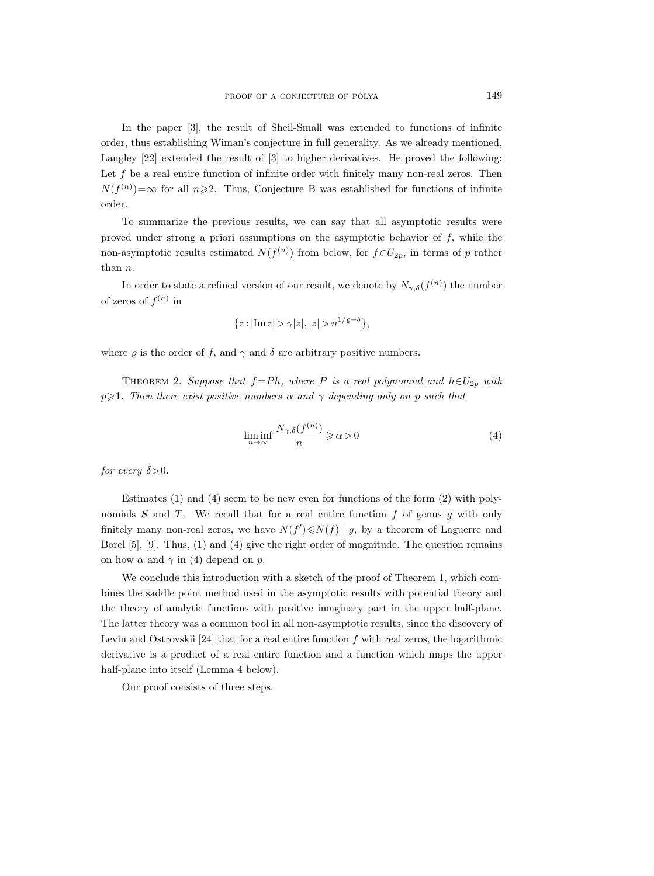In the paper [3], the result of Sheil-Small was extended to functions of infinite order, thus establishing Wiman's conjecture in full generality. As we already mentioned, Langley [22] extended the result of [3] to higher derivatives. He proved the following: Let  $f$  be a real entire function of infinite order with finitely many non-real zeros. Then  $N(f^{(n)}) = \infty$  for all  $n \ge 2$ . Thus, Conjecture B was established for functions of infinite order.

To summarize the previous results, we can say that all asymptotic results were proved under strong a priori assumptions on the asymptotic behavior of  $f$ , while the non-asymptotic results estimated  $N(f^{(n)})$  from below, for  $f \in U_{2p}$ , in terms of p rather than n.

In order to state a refined version of our result, we denote by  $N_{\gamma,\delta}(f^{(n)})$  the number of zeros of  $f^{(n)}$  in

$$
\{z: |\text{Im}\, z| > \gamma |z|, |z| > n^{1/\varrho - \delta} \},
$$

where  $\varrho$  is the order of f, and  $\gamma$  and  $\delta$  are arbitrary positive numbers.

THEOREM 2. Suppose that  $f = Ph$ , where P is a real polynomial and  $h \in U_{2p}$  with  $p\geqslant 1$ . Then there exist positive numbers  $\alpha$  and  $\gamma$  depending only on p such that

$$
\liminf_{n \to \infty} \frac{N_{\gamma,\delta}(f^{(n)})}{n} \geqslant \alpha > 0 \tag{4}
$$

for every  $\delta > 0$ .

Estimates (1) and (4) seem to be new even for functions of the form (2) with polynomials  $S$  and  $T$ . We recall that for a real entire function  $f$  of genus  $g$  with only finitely many non-real zeros, we have  $N(f') \le N(f) + g$ , by a theorem of Laguerre and Borel [5], [9]. Thus, (1) and (4) give the right order of magnitude. The question remains on how  $\alpha$  and  $\gamma$  in (4) depend on p.

We conclude this introduction with a sketch of the proof of Theorem 1, which combines the saddle point method used in the asymptotic results with potential theory and the theory of analytic functions with positive imaginary part in the upper half-plane. The latter theory was a common tool in all non-asymptotic results, since the discovery of Levin and Ostrovskii [24] that for a real entire function  $f$  with real zeros, the logarithmic derivative is a product of a real entire function and a function which maps the upper half-plane into itself (Lemma 4 below).

Our proof consists of three steps.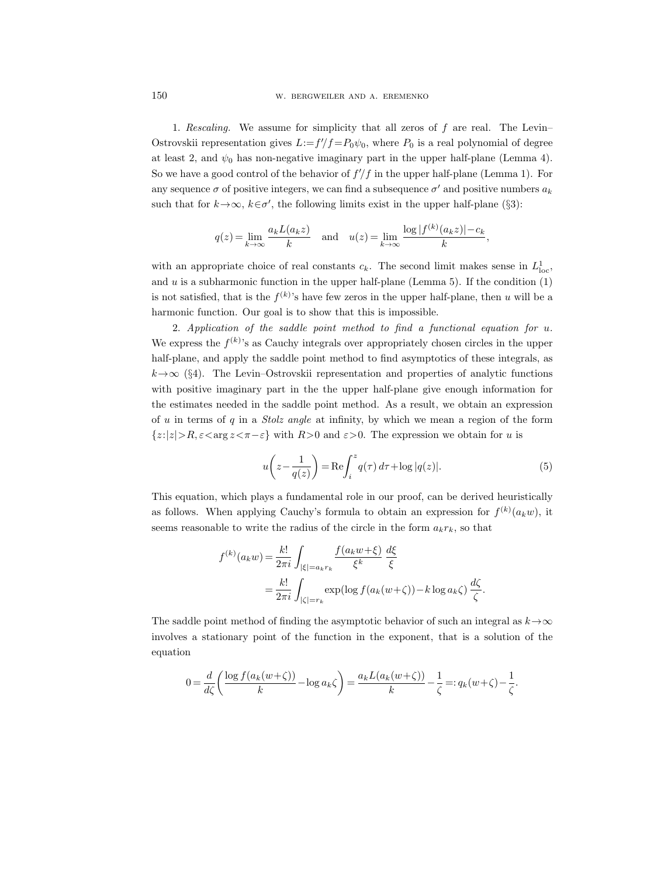1. Rescaling. We assume for simplicity that all zeros of f are real. The Levin– Ostrovskii representation gives  $L:=f'/f=P_0\psi_0$ , where  $P_0$  is a real polynomial of degree at least 2, and  $\psi_0$  has non-negative imaginary part in the upper half-plane (Lemma 4). So we have a good control of the behavior of  $f/f$  in the upper half-plane (Lemma 1). For any sequence  $\sigma$  of positive integers, we can find a subsequence  $\sigma'$  and positive numbers  $a_k$ such that for  $k \to \infty$ ,  $k \in \sigma'$ , the following limits exist in the upper half-plane (§3):

$$
q(z) = \lim_{k \to \infty} \frac{a_k L(a_k z)}{k}
$$
 and  $u(z) = \lim_{k \to \infty} \frac{\log |f^{(k)}(a_k z)| - c_k}{k}$ ,

with an appropriate choice of real constants  $c_k$ . The second limit makes sense in  $L^1_{loc}$ , and  $u$  is a subharmonic function in the upper half-plane (Lemma 5). If the condition  $(1)$ is not satisfied, that is the  $f^{(k)}$ 's have few zeros in the upper half-plane, then u will be a harmonic function. Our goal is to show that this is impossible.

2. Application of the saddle point method to find a functional equation for u. We express the  $f^{(k)}$ 's as Cauchy integrals over appropriately chosen circles in the upper half-plane, and apply the saddle point method to find asymptotics of these integrals, as  $k \rightarrow \infty$  (§4). The Levin–Ostrovskii representation and properties of analytic functions with positive imaginary part in the the upper half-plane give enough information for the estimates needed in the saddle point method. As a result, we obtain an expression of u in terms of q in a *Stolz angle* at infinity, by which we mean a region of the form  $\{z:|z|>R, \varepsilon<\arg z<\pi-\varepsilon\}$  with  $R>0$  and  $\varepsilon>0$ . The expression we obtain for u is

$$
u\left(z - \frac{1}{q(z)}\right) = \text{Re}\int_{i}^{z} q(\tau) d\tau + \log|q(z)|.
$$
 (5)

This equation, which plays a fundamental role in our proof, can be derived heuristically as follows. When applying Cauchy's formula to obtain an expression for  $f^{(k)}(a_k w)$ , it seems reasonable to write the radius of the circle in the form  $a_kr_k$ , so that

$$
f^{(k)}(a_k w) = \frac{k!}{2\pi i} \int_{|\xi| = a_k r_k} \frac{f(a_k w + \xi)}{\xi^k} \frac{d\xi}{\xi}
$$
  
= 
$$
\frac{k!}{2\pi i} \int_{|\zeta| = r_k} \exp(\log f(a_k (w + \zeta)) - k \log a_k \zeta) \frac{d\zeta}{\zeta}.
$$

The saddle point method of finding the asymptotic behavior of such an integral as  $k \rightarrow \infty$ involves a stationary point of the function in the exponent, that is a solution of the equation

$$
0=\frac{d}{d\zeta}\bigg(\frac{\log f(a_k(w+\zeta))}{k}-\log a_k\zeta\bigg)=\frac{a_kL(a_k(w+\zeta))}{k}-\frac{1}{\zeta}=:q_k(w+\zeta)-\frac{1}{\zeta}.
$$

150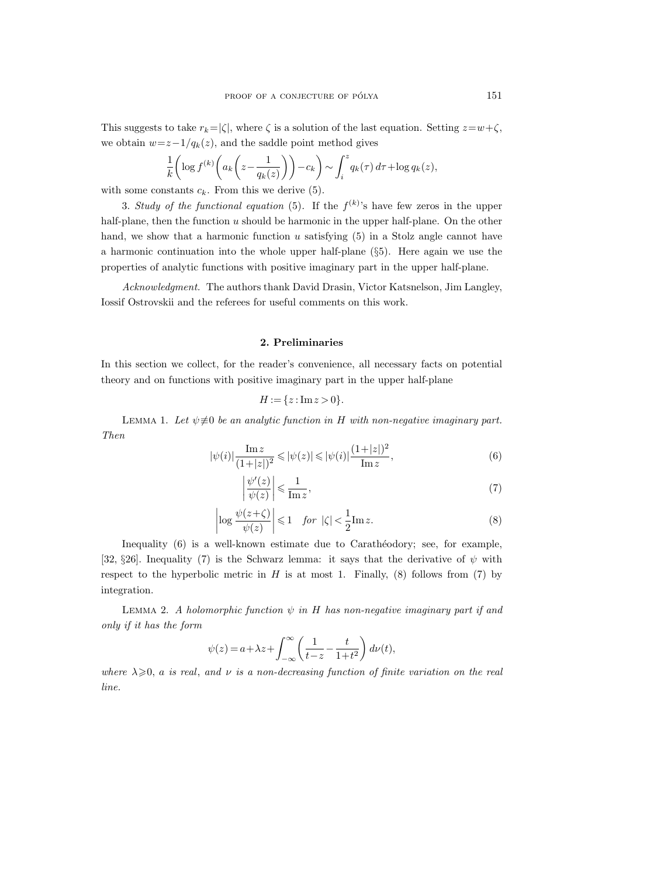This suggests to take  $r_k=|\zeta|$ , where  $\zeta$  is a solution of the last equation. Setting  $z=w+\zeta$ , we obtain  $w=z-1/q_k(z)$ , and the saddle point method gives

$$
\frac{1}{k} \left( \log f^{(k)} \left( a_k \left( z - \frac{1}{q_k(z)} \right) \right) - c_k \right) \sim \int_i^z q_k(\tau) d\tau + \log q_k(z),
$$

with some constants  $c_k$ . From this we derive (5).

3. Study of the functional equation (5). If the  $f^{(k)}$ 's have few zeros in the upper half-plane, then the function  $u$  should be harmonic in the upper half-plane. On the other hand, we show that a harmonic function  $u$  satisfying  $(5)$  in a Stolz angle cannot have a harmonic continuation into the whole upper half-plane (§5). Here again we use the properties of analytic functions with positive imaginary part in the upper half-plane.

Acknowledgment. The authors thank David Drasin, Victor Katsnelson, Jim Langley, Iossif Ostrovskii and the referees for useful comments on this work.

## 2. Preliminaries

In this section we collect, for the reader's convenience, all necessary facts on potential theory and on functions with positive imaginary part in the upper half-plane

$$
H := \{ z : \text{Im} \, z > 0 \}.
$$

LEMMA 1. Let  $\psi \neq 0$  be an analytic function in H with non-negative imaginary part. Then

$$
|\psi(i)| \frac{\text{Im} z}{(1+|z|)^2} \leq |\psi(z)| \leq |\psi(i)| \frac{(1+|z|)^2}{\text{Im} z},\tag{6}
$$

$$
\left|\frac{\psi'(z)}{\psi(z)}\right| \leqslant \frac{1}{\text{Im}\,z},\tag{7}
$$

$$
\left| \log \frac{\psi(z+\zeta)}{\psi(z)} \right| \leq 1 \quad \text{for } |\zeta| < \frac{1}{2} \text{Im} \, z. \tag{8}
$$

Inequality  $(6)$  is a well-known estimate due to Carathéodory; see, for example, [32, §26]. Inequality (7) is the Schwarz lemma: it says that the derivative of  $\psi$  with respect to the hyperbolic metric in  $H$  is at most 1. Finally, (8) follows from (7) by integration.

LEMMA 2. A holomorphic function  $\psi$  in H has non-negative imaginary part if and only if it has the form

$$
\psi(z) = a + \lambda z + \int_{-\infty}^{\infty} \left( \frac{1}{t - z} - \frac{t}{1 + t^2} \right) d\nu(t),
$$

where  $\lambda \geq 0$ , a is real, and v is a non-decreasing function of finite variation on the real line.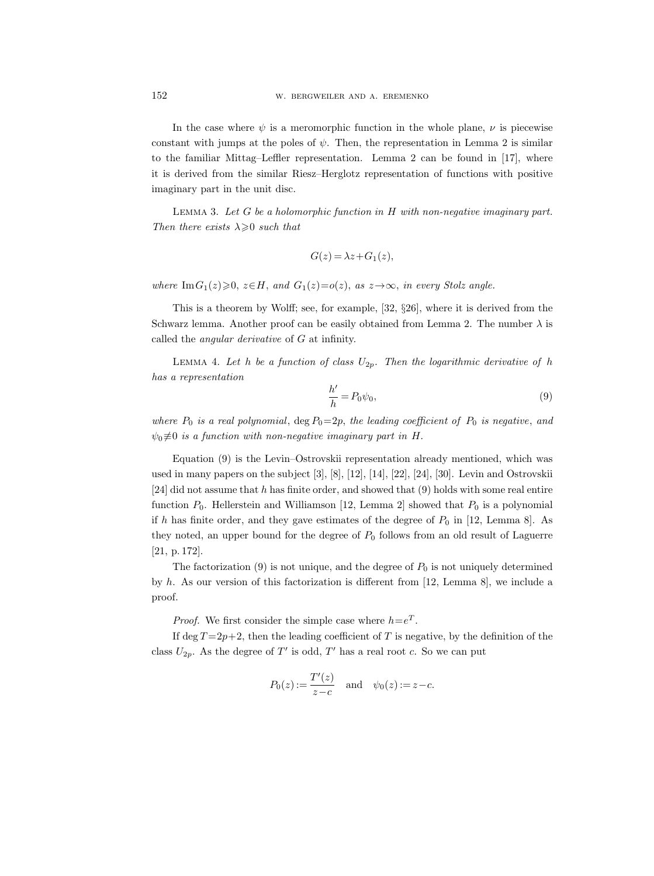In the case where  $\psi$  is a meromorphic function in the whole plane,  $\nu$  is piecewise constant with jumps at the poles of  $\psi$ . Then, the representation in Lemma 2 is similar to the familiar Mittag–Leffler representation. Lemma 2 can be found in [17], where it is derived from the similar Riesz–Herglotz representation of functions with positive imaginary part in the unit disc.

LEMMA 3. Let  $G$  be a holomorphic function in  $H$  with non-negative imaginary part. Then there exists  $\lambda \geqslant 0$  such that

$$
G(z) = \lambda z + G_1(z),
$$

where Im $G_1(z) \geq 0$ ,  $z \in H$ , and  $G_1(z) = o(z)$ , as  $z \rightarrow \infty$ , in every Stolz angle.

This is a theorem by Wolff; see, for example, [32, §26], where it is derived from the Schwarz lemma. Another proof can be easily obtained from Lemma 2. The number  $\lambda$  is called the angular derivative of G at infinity.

LEMMA 4. Let h be a function of class  $U_{2p}$ . Then the logarithmic derivative of h has a representation

$$
\frac{h'}{h} = P_0 \psi_0,\tag{9}
$$

where  $P_0$  is a real polynomial,  $\text{deg } P_0 = 2p$ , the leading coefficient of  $P_0$  is negative, and  $\psi_0 \neq 0$  is a function with non-negative imaginary part in H.

Equation (9) is the Levin–Ostrovskii representation already mentioned, which was used in many papers on the subject [3], [8], [12], [14], [22], [24], [30]. Levin and Ostrovskii [24] did not assume that h has finite order, and showed that  $(9)$  holds with some real entire function  $P_0$ . Hellerstein and Williamson [12, Lemma 2] showed that  $P_0$  is a polynomial if h has finite order, and they gave estimates of the degree of  $P_0$  in [12, Lemma 8]. As they noted, an upper bound for the degree of  $P_0$  follows from an old result of Laguerre [21, p. 172].

The factorization (9) is not unique, and the degree of  $P_0$  is not uniquely determined by h. As our version of this factorization is different from [12, Lemma 8], we include a proof.

*Proof.* We first consider the simple case where  $h=e^T$ .

If deg  $T=2p+2$ , then the leading coefficient of T is negative, by the definition of the class  $U_{2p}$ . As the degree of T' is odd, T' has a real root c. So we can put

$$
P_0(z) := \frac{T'(z)}{z - c}
$$
 and  $\psi_0(z) := z - c$ .

152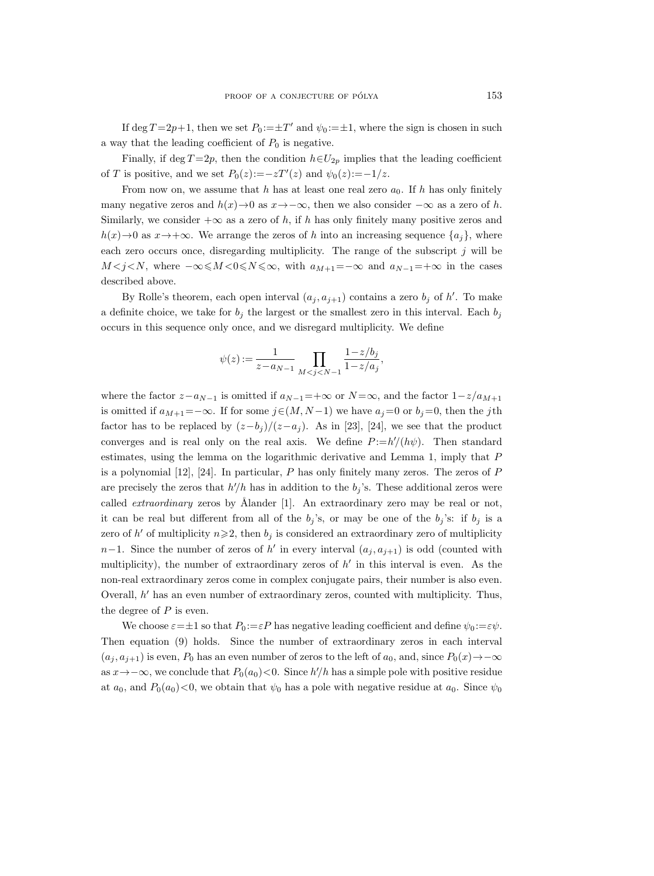If deg  $T=2p+1$ , then we set  $P_0:=\pm T'$  and  $\psi_0:=\pm 1$ , where the sign is chosen in such a way that the leading coefficient of  $P_0$  is negative.

Finally, if deg  $T=2p$ , then the condition  $h\in U_{2p}$  implies that the leading coefficient of T is positive, and we set  $P_0(z) := -zT'(z)$  and  $\psi_0(z) := -1/z$ .

From now on, we assume that h has at least one real zero  $a_0$ . If h has only finitely many negative zeros and  $h(x) \to 0$  as  $x \to -\infty$ , then we also consider  $-\infty$  as a zero of h. Similarly, we consider  $+\infty$  as a zero of h, if h has only finitely many positive zeros and  $h(x) \to 0$  as  $x \to +\infty$ . We arrange the zeros of h into an increasing sequence  ${a_i}$ , where each zero occurs once, disregarding multiplicity. The range of the subscript  $j$  will be  $M < j < N$ , where  $-\infty \le M < 0 \le N \le \infty$ , with  $a_{M+1} = -\infty$  and  $a_{N-1} = +\infty$  in the cases described above.

By Rolle's theorem, each open interval  $(a_j, a_{j+1})$  contains a zero  $b_j$  of h'. To make a definite choice, we take for  $b_j$  the largest or the smallest zero in this interval. Each  $b_j$ occurs in this sequence only once, and we disregard multiplicity. We define

$$
\psi(z) := \frac{1}{z - a_{N-1}} \prod_{M < j < N-1} \frac{1 - z/b_j}{1 - z/a_j},
$$

where the factor  $z-a_{N-1}$  is omitted if  $a_{N-1}$ =+∞ or  $N = \infty$ , and the factor  $1-z/a_{M+1}$ is omitted if  $a_{M+1} = -\infty$ . If for some  $j \in (M, N-1)$  we have  $a_j = 0$  or  $b_j = 0$ , then the jth factor has to be replaced by  $(z-b_j)/(z-a_j)$ . As in [23], [24], we see that the product converges and is real only on the real axis. We define  $P := h'/(h\psi)$ . Then standard estimates, using the lemma on the logarithmic derivative and Lemma 1, imply that P is a polynomial  $[12]$ ,  $[24]$ . In particular, P has only finitely many zeros. The zeros of P are precisely the zeros that  $h/h$  has in addition to the  $b_j$ 's. These additional zeros were called *extraordinary* zeros by Ålander  $[1]$ . An extraordinary zero may be real or not, it can be real but different from all of the  $b_j$ 's, or may be one of the  $b_j$ 's: if  $b_j$  is a zero of  $h'$  of multiplicity  $n \geq 2$ , then  $b_j$  is considered an extraordinary zero of multiplicity n−1. Since the number of zeros of h' in every interval  $(a_j, a_{j+1})$  is odd (counted with multiplicity), the number of extraordinary zeros of  $h'$  in this interval is even. As the non-real extraordinary zeros come in complex conjugate pairs, their number is also even. Overall,  $h'$  has an even number of extraordinary zeros, counted with multiplicity. Thus, the degree of  $P$  is even.

We choose  $\varepsilon = \pm 1$  so that  $P_0 := \varepsilon P$  has negative leading coefficient and define  $\psi_0 := \varepsilon \psi$ . Then equation (9) holds. Since the number of extraordinary zeros in each interval  $(a_j, a_{j+1})$  is even,  $P_0$  has an even number of zeros to the left of  $a_0$ , and, since  $P_0(x) \to -\infty$ as  $x \to -\infty$ , we conclude that  $P_0(a_0) < 0$ . Since  $h'/h$  has a simple pole with positive residue at  $a_0$ , and  $P_0(a_0)$ <0, we obtain that  $\psi_0$  has a pole with negative residue at  $a_0$ . Since  $\psi_0$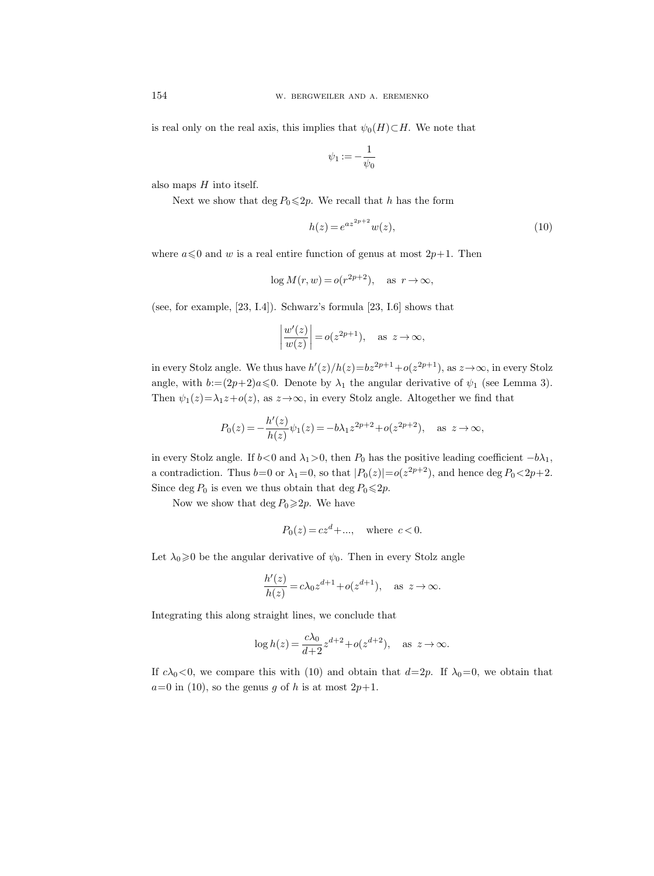is real only on the real axis, this implies that  $\psi_0(H) \subset H$ . We note that

$$
\psi_1:=-\frac{1}{\psi_0}
$$

also maps  $H$  into itself.

Next we show that deg  $P_0 \leq 2p$ . We recall that h has the form

$$
h(z) = e^{az^{2p+2}}w(z),
$$
\n(10)

where  $a \le 0$  and w is a real entire function of genus at most  $2p+1$ . Then

$$
\log M(r, w) = o(r^{2p+2}), \quad \text{as } r \to \infty,
$$

(see, for example, [23, I.4]). Schwarz's formula [23, I.6] shows that

$$
\left|\frac{w'(z)}{w(z)}\right| = o(z^{2p+1}), \text{ as } z \to \infty,
$$

in every Stolz angle. We thus have  $h'(z)/h(z) = bz^{2p+1}+o(z^{2p+1}),$  as  $z \to \infty$ , in every Stolz angle, with  $b:=(2p+2)a\leqslant0$ . Denote by  $\lambda_1$  the angular derivative of  $\psi_1$  (see Lemma 3). Then  $\psi_1(z)=\lambda_1 z+o(z)$ , as  $z\rightarrow\infty$ , in every Stolz angle. Altogether we find that

$$
P_0(z) = -\frac{h'(z)}{h(z)}\psi_1(z) = -b\lambda_1 z^{2p+2} + o(z^{2p+2}), \text{ as } z \to \infty,
$$

in every Stolz angle. If  $b < 0$  and  $\lambda_1 > 0$ , then  $P_0$  has the positive leading coefficient  $-b\lambda_1$ , a contradiction. Thus  $b=0$  or  $\lambda_1=0$ , so that  $|P_0(z)|=o(z^{2p+2})$ , and hence  $\deg P_0<2p+2$ . Since deg  $P_0$  is even we thus obtain that deg  $P_0 \leq 2p$ .

Now we show that deg  $P_0 \geq 2p$ . We have

$$
P_0(z) = cz^d + \dots, \quad \text{where } c < 0.
$$

Let  $\lambda_0 \geq 0$  be the angular derivative of  $\psi_0$ . Then in every Stolz angle

$$
\frac{h'(z)}{h(z)} = c\lambda_0 z^{d+1} + o(z^{d+1}), \text{ as } z \to \infty.
$$

Integrating this along straight lines, we conclude that

$$
\log h(z) = \frac{c\lambda_0}{d+2} z^{d+2} + o(z^{d+2}), \quad \text{as } z \to \infty.
$$

If  $c\lambda_0 < 0$ , we compare this with (10) and obtain that  $d=2p$ . If  $\lambda_0=0$ , we obtain that  $a=0$  in (10), so the genus g of h is at most  $2p+1$ .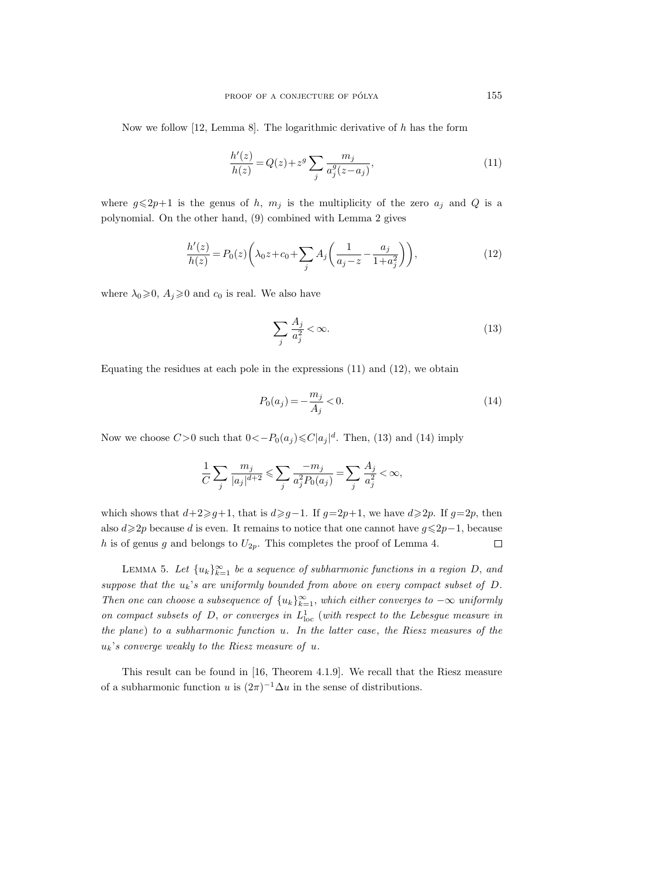Now we follow [12, Lemma 8]. The logarithmic derivative of  $h$  has the form

$$
\frac{h'(z)}{h(z)} = Q(z) + z^g \sum_{j} \frac{m_j}{a_j^g(z - a_j)},
$$
\n(11)

where  $g \le 2p+1$  is the genus of h,  $m_j$  is the multiplicity of the zero  $a_j$  and Q is a polynomial. On the other hand, (9) combined with Lemma 2 gives

$$
\frac{h'(z)}{h(z)} = P_0(z) \left( \lambda_0 z + c_0 + \sum_j A_j \left( \frac{1}{a_j - z} - \frac{a_j}{1 + a_j^2} \right) \right),\tag{12}
$$

where  $\lambda_0 \geq 0$ ,  $A_j \geq 0$  and  $c_0$  is real. We also have

$$
\sum_{j} \frac{A_j}{a_j^2} < \infty. \tag{13}
$$

Equating the residues at each pole in the expressions (11) and (12), we obtain

$$
P_0(a_j) = -\frac{m_j}{A_j} < 0. \tag{14}
$$

Now we choose  $C > 0$  such that  $0 < -P_0(a_j) \leq C|a_j|^d$ . Then, (13) and (14) imply

$$
\frac{1}{C}\sum_j \frac{m_j}{|a_j|^{d+2}} \leqslant \sum_j \frac{-m_j}{a_j^2 P_0(a_j)} = \sum_j \frac{A_j}{a_j^2} < \infty,
$$

which shows that  $d+2\geqslant g+1$ , that is  $d\geqslant g-1$ . If  $g=2p+1$ , we have  $d\geqslant 2p$ . If  $g=2p$ , then also  $d\geq 2p$  because d is even. It remains to notice that one cannot have  $g\leq 2p-1$ , because h is of genus g and belongs to  $U_{2p}$ . This completes the proof of Lemma 4.  $\Box$ 

LEMMA 5. Let  ${u_k}_{k=1}^{\infty}$  be a sequence of subharmonic functions in a region D, and suppose that the  $u_k$ 's are uniformly bounded from above on every compact subset of  $D$ . Then one can choose a subsequence of  $\{u_k\}_{k=1}^{\infty}$ , which either converges to  $-\infty$  uniformly on compact subsets of  $D$ , or converges in  $L^1_{loc}$  (with respect to the Lebesgue measure in the plane) to a subharmonic function u. In the latter case, the Riesz measures of the  $u_k$ 's converge weakly to the Riesz measure of u.

This result can be found in [16, Theorem 4.1.9]. We recall that the Riesz measure of a subharmonic function u is  $(2\pi)^{-1} \Delta u$  in the sense of distributions.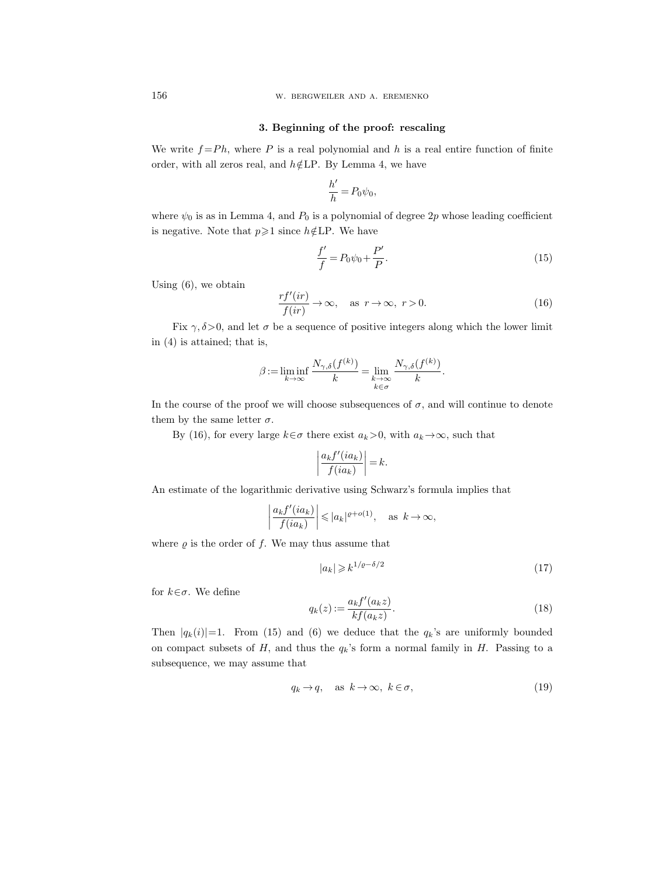w. bergweiler and a. eremenko

#### 3. Beginning of the proof: rescaling

We write  $f = Ph$ , where P is a real polynomial and h is a real entire function of finite order, with all zeros real, and  $h \notin \text{LP}$ . By Lemma 4, we have

$$
\frac{h'}{h} = P_0 \psi_0,
$$

where  $\psi_0$  is as in Lemma 4, and  $P_0$  is a polynomial of degree 2p whose leading coefficient is negative. Note that  $p\geqslant 1$  since  $h \notin LP$ . We have

$$
\frac{f'}{f} = P_0 \psi_0 + \frac{P'}{P}.\tag{15}
$$

Using (6), we obtain

$$
\frac{rf'(ir)}{f(ir)} \to \infty, \quad \text{as } r \to \infty, \ r > 0.
$$
 (16)

Fix  $\gamma$ ,  $\delta$  >0, and let  $\sigma$  be a sequence of positive integers along which the lower limit in (4) is attained; that is,

$$
\beta := \liminf_{k \to \infty} \frac{N_{\gamma,\delta}(f^{(k)})}{k} = \lim_{\substack{k \to \infty \\ k \in \sigma}} \frac{N_{\gamma,\delta}(f^{(k)})}{k}.
$$

In the course of the proof we will choose subsequences of  $\sigma$ , and will continue to denote them by the same letter  $\sigma$ .

By (16), for every large  $k \in \sigma$  there exist  $a_k > 0$ , with  $a_k \to \infty$ , such that

$$
\left|\frac{a_k f'(ia_k)}{f(ia_k)}\right| = k.
$$

An estimate of the logarithmic derivative using Schwarz's formula implies that

$$
\left|\frac{a_k f'(ia_k)}{f(ia_k)}\right| \leqslant |a_k|^{e+o(1)}, \quad \text{as } k \to \infty,
$$

where  $\rho$  is the order of f. We may thus assume that

$$
|a_k| \geqslant k^{1/\varrho - \delta/2} \tag{17}
$$

for  $k \in \sigma$ . We define

$$
q_k(z) := \frac{a_k f'(a_k z)}{k f(a_k z)}.\tag{18}
$$

Then  $|q_k(i)|=1$ . From (15) and (6) we deduce that the  $q_k$ 's are uniformly bounded on compact subsets of  $H$ , and thus the  $q_k$ 's form a normal family in  $H$ . Passing to a subsequence, we may assume that

$$
q_k \to q, \quad \text{as } k \to \infty, \ k \in \sigma,
$$
\n<sup>(19)</sup>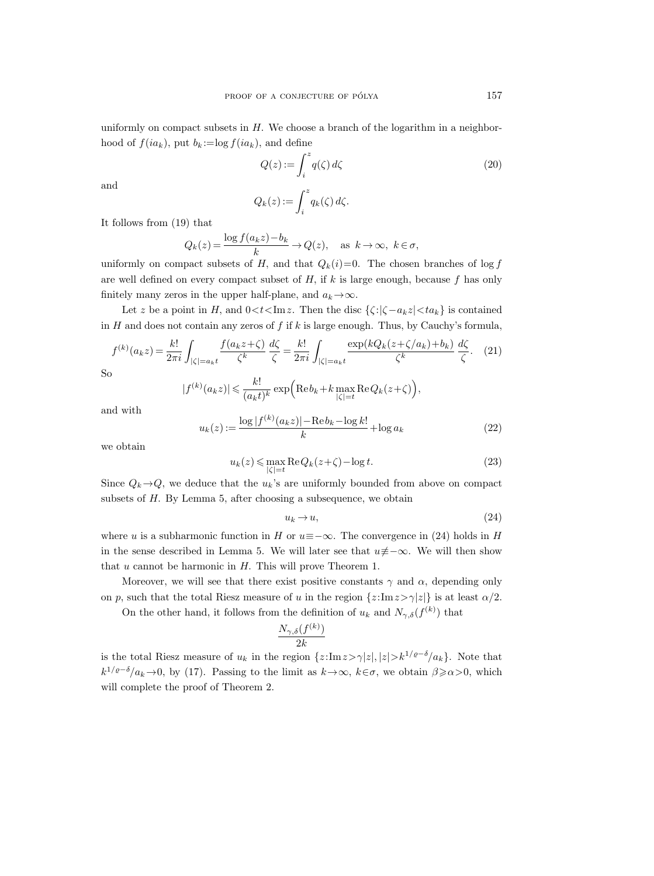uniformly on compact subsets in  $H$ . We choose a branch of the logarithm in a neighborhood of  $f(ia_k)$ , put  $b_k := \log f(ia_k)$ , and define

$$
Q(z) := \int_{i}^{z} q(\zeta) d\zeta
$$
 (20)

and

$$
Q_k(z) := \int_i^z q_k(\zeta) \, d\zeta.
$$

It follows from (19) that

$$
Q_k(z) = \frac{\log f(a_k z) - b_k}{k} \to Q(z), \quad \text{as } k \to \infty, \ k \in \sigma,
$$

uniformly on compact subsets of H, and that  $Q_k(i)=0$ . The chosen branches of log f are well defined on every compact subset of  $H$ , if  $k$  is large enough, because  $f$  has only finitely many zeros in the upper half-plane, and  $a_k \rightarrow \infty$ .

Let z be a point in H, and  $0 < t < \text{Im } z$ . Then the disc  $\{\zeta : |\zeta - a_k z| < t a_k\}$  is contained in  $H$  and does not contain any zeros of  $f$  if  $k$  is large enough. Thus, by Cauchy's formula,

$$
f^{(k)}(a_k z) = \frac{k!}{2\pi i} \int_{|\zeta| = a_k t} \frac{f(a_k z + \zeta)}{\zeta^k} \frac{d\zeta}{\zeta} = \frac{k!}{2\pi i} \int_{|\zeta| = a_k t} \frac{\exp(kQ_k (z + \zeta/a_k) + b_k)}{\zeta^k} \frac{d\zeta}{\zeta}.
$$
 (21)

So

$$
|f^{(k)}(a_k z)| \leqslant \frac{k!}{(a_k t)^k} \exp\Bigl(\text{Re}\, b_k + k \max_{|\zeta|=t} \text{Re}\, Q_k(z+\zeta)\Bigr),
$$

and with

$$
u_k(z) := \frac{\log |f^{(k)}(a_k z)| - \text{Re} \, b_k - \log k!}{k} + \log a_k \tag{22}
$$

we obtain

$$
u_k(z) \le \max_{|\zeta|=t} \text{Re}\, Q_k(z+\zeta) - \log t. \tag{23}
$$

Since  $Q_k \rightarrow Q$ , we deduce that the  $u_k$ 's are uniformly bounded from above on compact subsets of H. By Lemma 5, after choosing a subsequence, we obtain

$$
u_k \to u,\tag{24}
$$

where u is a subharmonic function in H or  $u \equiv -\infty$ . The convergence in (24) holds in H in the sense described in Lemma 5. We will later see that  $u\neq-\infty$ . We will then show that  $u$  cannot be harmonic in  $H$ . This will prove Theorem 1.

Moreover, we will see that there exist positive constants  $\gamma$  and  $\alpha$ , depending only on p, such that the total Riesz measure of u in the region  $\{z:\text{Im} z>\gamma|z|\}$  is at least  $\alpha/2$ .

On the other hand, it follows from the definition of  $u_k$  and  $N_{\gamma,\delta}(f^{(k)})$  that

$$
\frac{N_{\gamma,\delta}(f^{(k)})}{2k}
$$

is the total Riesz measure of  $u_k$  in the region  $\{z:\text{Im} z>\gamma|z|, |z|>k^{1/\varrho-\delta}/a_k\}$ . Note that  $k^{1/\varrho-\delta}/a_k \to 0$ , by (17). Passing to the limit as  $k \to \infty$ ,  $k \in \sigma$ , we obtain  $\beta \ge \alpha > 0$ , which will complete the proof of Theorem 2.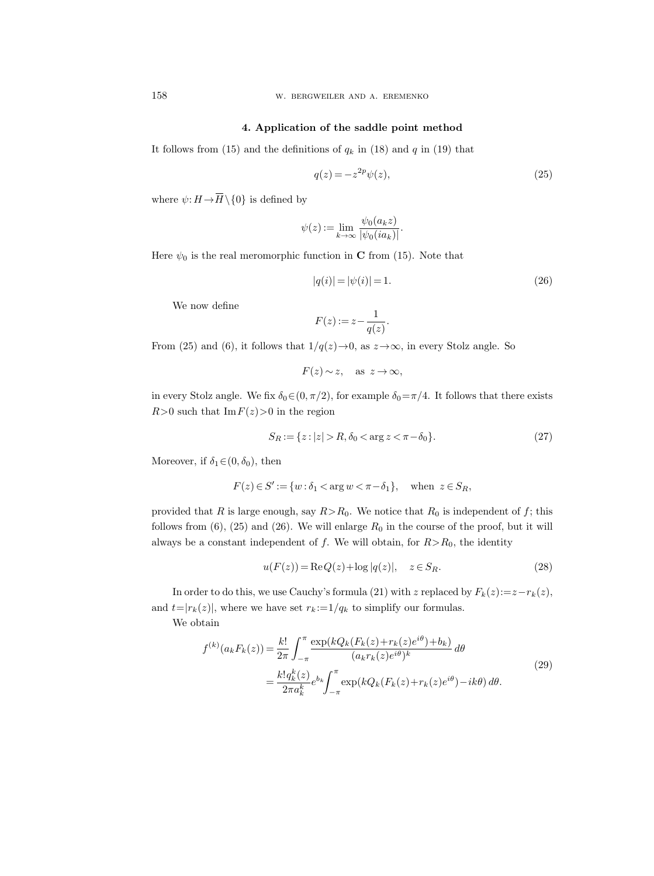w. bergweiler and a. eremenko

#### 4. Application of the saddle point method

It follows from (15) and the definitions of  $q_k$  in (18) and q in (19) that

$$
q(z) = -z^{2p}\psi(z),\tag{25}
$$

158 w. BER<br>
4. Application (15) and the definition of the set of the definition<br>
where  $\psi: H \rightarrow \overline{H} \setminus \{0\}$  is defined by

$$
\psi(z) := \lim_{k \to \infty} \frac{\psi_0(a_k z)}{|\psi_0(ia_k)|}.
$$

Here  $\psi_0$  is the real meromorphic function in C from (15). Note that

$$
|q(i)| = |\psi(i)| = 1.
$$
\n(26)

We now define

$$
F(z) := z - \frac{1}{q(z)}
$$

.

From (25) and (6), it follows that  $1/q(z) \rightarrow 0$ , as  $z \rightarrow \infty$ , in every Stolz angle. So

$$
F(z) \sim z, \quad \text{as } z \to \infty,
$$

in every Stolz angle. We fix  $\delta_0 \in (0, \pi/2)$ , for example  $\delta_0 = \pi/4$ . It follows that there exists  $R>0$  such that  $\text{Im } F(z) > 0$  in the region

$$
S_R := \{ z : |z| > R, \delta_0 < \arg z < \pi - \delta_0 \}. \tag{27}
$$

Moreover, if  $\delta_1 \in (0, \delta_0)$ , then

$$
F(z) \in S' := \{ w : \delta_1 < \arg w < \pi - \delta_1 \}, \quad \text{when } z \in S_R,
$$

provided that R is large enough, say  $R>R_0$ . We notice that  $R_0$  is independent of f; this follows from  $(6)$ ,  $(25)$  and  $(26)$ . We will enlarge  $R_0$  in the course of the proof, but it will always be a constant independent of f. We will obtain, for  $R > R_0$ , the identity

$$
u(F(z)) = \text{Re}\,Q(z) + \log|q(z)|, \quad z \in S_R. \tag{28}
$$

In order to do this, we use Cauchy's formula (21) with z replaced by  $F_k(z) := z - r_k(z)$ , and  $t=|r_k(z)|$ , where we have set  $r_k := 1/q_k$  to simplify our formulas.

We obtain

$$
f^{(k)}(a_k F_k(z)) = \frac{k!}{2\pi} \int_{-\pi}^{\pi} \frac{\exp(kQ_k(F_k(z) + r_k(z)e^{i\theta}) + b_k)}{(a_k r_k(z)e^{i\theta})^k} d\theta
$$
  

$$
= \frac{k! q_k^k(z)}{2\pi a_k^k} e^{b_k} \int_{-\pi}^{\pi} \exp(kQ_k(F_k(z) + r_k(z)e^{i\theta}) - ik\theta) d\theta.
$$
 (29)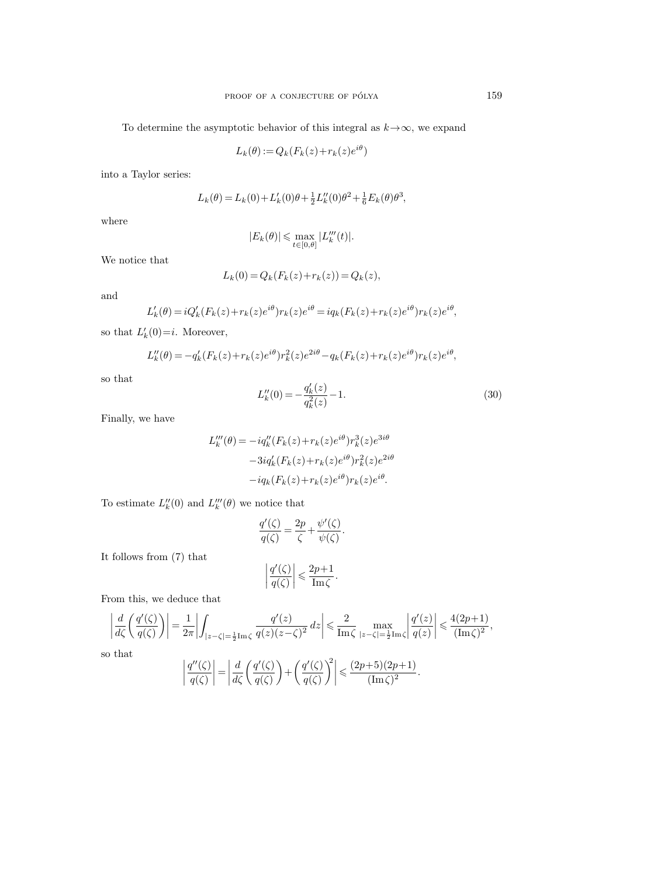To determine the asymptotic behavior of this integral as  $k \rightarrow \infty$ , we expand

$$
L_k(\theta) := Q_k(F_k(z) + r_k(z)e^{i\theta})
$$

into a Taylor series:

$$
L_k(\theta) = L_k(0) + L'_k(0)\theta + \frac{1}{2}L''_k(0)\theta^2 + \frac{1}{6}E_k(\theta)\theta^3,
$$

where

$$
|E_k(\theta)| \leqslant \max_{t \in [0,\theta]} |L_k'''(t)|.
$$

We notice that

$$
L_k(0) = Q_k(F_k(z) + r_k(z)) = Q_k(z),
$$

and

$$
L'_k(\theta) = iQ'_k(F_k(z) + r_k(z)e^{i\theta})r_k(z)e^{i\theta} = iq_k(F_k(z) + r_k(z)e^{i\theta})r_k(z)e^{i\theta},
$$

so that  $L'_k(0)=i$ . Moreover,

$$
L_k''(\theta) = -q_k'(F_k(z) + r_k(z)e^{i\theta})r_k^2(z)e^{2i\theta} - q_k(F_k(z) + r_k(z)e^{i\theta})r_k(z)e^{i\theta},
$$

so that

$$
L_k''(0) = -\frac{q_k'(z)}{q_k^2(z)} - 1.
$$
\n(30)

.

Finally, we have

$$
L_k'''(\theta) = -iq_k''(F_k(z) + r_k(z)e^{i\theta})r_k^3(z)e^{3i\theta}
$$

$$
-3iq_k'(F_k(z) + r_k(z)e^{i\theta})r_k^2(z)e^{2i\theta}
$$

$$
-iq_k(F_k(z) + r_k(z)e^{i\theta})r_k(z)e^{i\theta}.
$$

To estimate  $L_k''(0)$  and  $L_k'''(\theta)$  we notice that

$$
\frac{q'(\zeta)}{q(\zeta)} = \frac{2p}{\zeta} + \frac{\psi'(\zeta)}{\psi(\zeta)}.
$$

It follows from (7) that

$$
\left|\frac{q'(\zeta)}{q(\zeta)}\right| \leqslant \frac{2p+1}{\text{Im}\,\zeta}.
$$

From this, we deduce that

$$
\left| \frac{d}{d\zeta} \left( \frac{q'(\zeta)}{q(\zeta)} \right) \right| = \frac{1}{2\pi} \left| \int_{|z-\zeta| = \frac{1}{2} \mathrm{Im}\,\zeta} \frac{q'(z)}{q(z)(z-\zeta)^2} \, dz \right| \leq \frac{2}{\mathrm{Im}\,\zeta} \max_{|z-\zeta| = \frac{1}{2} \mathrm{Im}\,\zeta} \left| \frac{q'(z)}{q(z)} \right| \leq \frac{4(2p+1)}{(\mathrm{Im}\,\zeta)^2},
$$
that

 $\rm{so}$ 

$$
\left| \frac{q''(\zeta)}{q(\zeta)} \right| = \left| \frac{d}{d\zeta} \left( \frac{q'(\zeta)}{q(\zeta)} \right) + \left( \frac{q'(\zeta)}{q(\zeta)} \right)^2 \right| \leq \frac{(2p+5)(2p+1)}{(\text{Im}\,\zeta)^2}
$$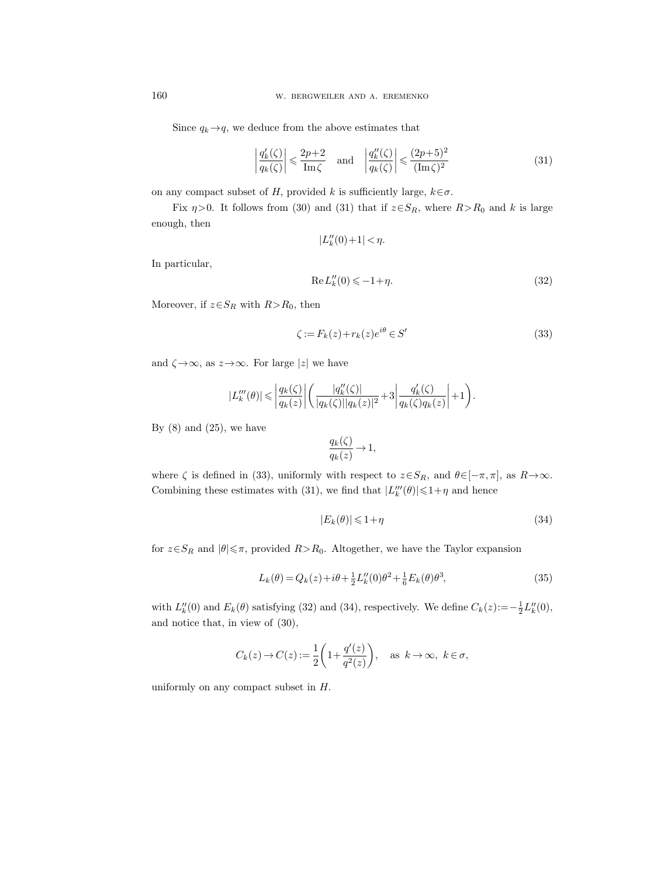Since  $q_k \rightarrow q$ , we deduce from the above estimates that

$$
\left| \frac{q'_k(\zeta)}{q_k(\zeta)} \right| \leq \frac{2p+2}{\text{Im}\,\zeta} \quad \text{and} \quad \left| \frac{q''_k(\zeta)}{q_k(\zeta)} \right| \leq \frac{(2p+5)^2}{(\text{Im}\,\zeta)^2} \tag{31}
$$

on any compact subset of H, provided k is sufficiently large,  $k \in \sigma$ .

Fix  $\eta$ >0. It follows from (30) and (31) that if  $z \in S_R$ , where  $R > R_0$  and k is large enough, then

$$
|L_k''(0)+1|<\eta.
$$

In particular,

$$
Re L_k''(0) \le -1 + \eta. \tag{32}
$$

Moreover, if  $z \in S_R$  with  $R > R_0$ , then

$$
\zeta := F_k(z) + r_k(z)e^{i\theta} \in S' \tag{33}
$$

and  $\zeta \rightarrow \infty$ , as  $z \rightarrow \infty$ . For large |z| we have

$$
|L_k'''(\theta)| \leqslant \left|\frac{q_k(\zeta)}{q_k(z)}\right| \left(\frac{|q_k''(\zeta)|}{|q_k(\zeta)||q_k(z)|^2} + 3\left|\frac{q_k'(\zeta)}{q_k(\zeta)q_k(z)}\right| + 1\right).
$$

By  $(8)$  and  $(25)$ , we have

$$
\frac{q_k(\zeta)}{q_k(z)} \to 1,
$$

where  $\zeta$  is defined in (33), uniformly with respect to  $z \in S_R$ , and  $\theta \in [-\pi, \pi]$ , as  $R \to \infty$ . Combining these estimates with (31), we find that  $|L_k'''(\theta)| \leq 1 + \eta$  and hence

$$
|E_k(\theta)| \leq 1 + \eta \tag{34}
$$

for  $z \in S_R$  and  $|\theta| \leq \pi$ , provided  $R > R_0$ . Altogether, we have the Taylor expansion

$$
L_k(\theta) = Q_k(z) + i\theta + \frac{1}{2}L_k''(0)\theta^2 + \frac{1}{6}E_k(\theta)\theta^3,
$$
\n(35)

with  $L''_k(0)$  and  $E_k(\theta)$  satisfying (32) and (34), respectively. We define  $C_k(z) := -\frac{1}{2}L''_k(0)$ , and notice that, in view of (30),

$$
C_k(z) \to C(z) := \frac{1}{2} \left( 1 + \frac{q'(z)}{q^2(z)} \right)
$$
, as  $k \to \infty$ ,  $k \in \sigma$ ,

uniformly on any compact subset in H.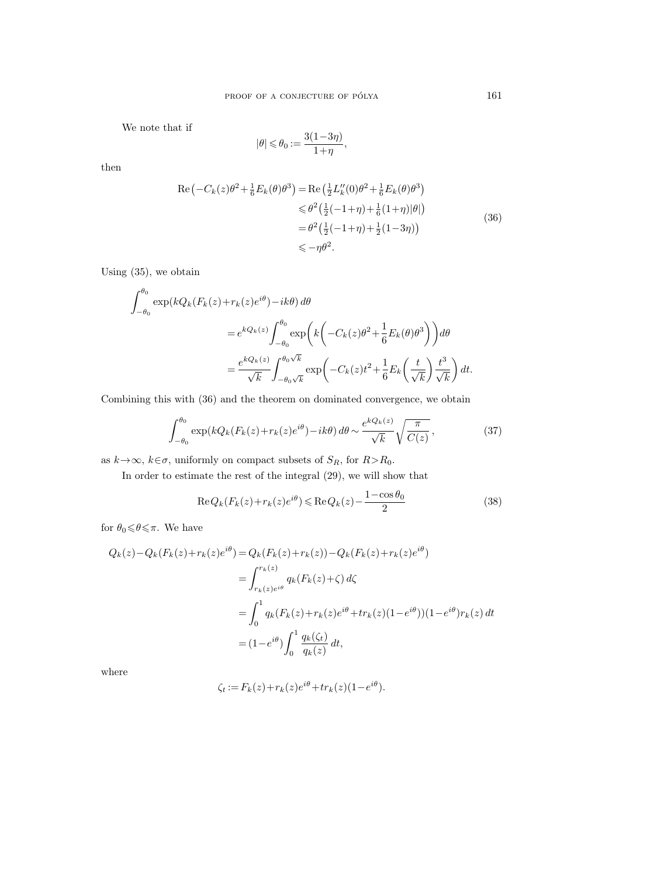We note that if

$$
|\theta|\leqslant \theta_0:=\frac{3(1-3\eta)}{1+\eta},
$$

then

$$
\operatorname{Re}\left(-C_{k}(z)\theta^{2}+\frac{1}{6}E_{k}(\theta)\theta^{3}\right) = \operatorname{Re}\left(\frac{1}{2}L_{k}''(0)\theta^{2}+\frac{1}{6}E_{k}(\theta)\theta^{3}\right) \\
\leq \theta^{2}\left(\frac{1}{2}(-1+\eta)+\frac{1}{6}(1+\eta)|\theta|\right) \\
= \theta^{2}\left(\frac{1}{2}(-1+\eta)+\frac{1}{2}(1-3\eta)\right) \\
\leq -\eta\theta^{2}.
$$
\n(36)

Using (35), we obtain

$$
\int_{-\theta_0}^{\theta_0} \exp(kQ_k(F_k(z) + r_k(z)e^{i\theta}) - ik\theta) d\theta
$$
  
=  $e^{kQ_k(z)} \int_{-\theta_0}^{\theta_0} \exp\left(k\left(-C_k(z)\theta^2 + \frac{1}{6}E_k(\theta)\theta^3\right)\right) d\theta$   
=  $\frac{e^{kQ_k(z)}}{\sqrt{k}} \int_{-\theta_0\sqrt{k}}^{\theta_0\sqrt{k}} \exp\left(-C_k(z)t^2 + \frac{1}{6}E_k\left(\frac{t}{\sqrt{k}}\right)\frac{t^3}{\sqrt{k}}\right) dt.$ 

Combining this with (36) and the theorem on dominated convergence, we obtain

$$
\int_{-\theta_0}^{\theta_0} \exp(kQ_k(F_k(z) + r_k(z)e^{i\theta}) - ik\theta) d\theta \sim \frac{e^{kQ_k(z)}}{\sqrt{k}} \sqrt{\frac{\pi}{C(z)}},
$$
\n(37)

as  $k{\,\rightarrow\,}\infty,$   $k{\in}\sigma,$  uniformly on compact subsets of  $S_R,$  for  $R{>}R_0.$ 

In order to estimate the rest of the integral (29), we will show that

$$
\operatorname{Re} Q_k(F_k(z) + r_k(z)e^{i\theta}) \leqslant \operatorname{Re} Q_k(z) - \frac{1 - \cos \theta_0}{2} \tag{38}
$$

for  $\theta_0{\leqslant}\theta{\leqslant}\pi.$  We have

$$
Q_k(z) - Q_k(F_k(z) + r_k(z)e^{i\theta}) = Q_k(F_k(z) + r_k(z)) - Q_k(F_k(z) + r_k(z)e^{i\theta})
$$
  
= 
$$
\int_{r_k(z)e^{i\theta}}^{r_k(z)} q_k(F_k(z) + \zeta) d\zeta
$$
  
= 
$$
\int_0^1 q_k(F_k(z) + r_k(z)e^{i\theta} + tr_k(z)(1 - e^{i\theta})) (1 - e^{i\theta}) r_k(z) dt
$$
  
= 
$$
(1 - e^{i\theta}) \int_0^1 \frac{q_k(\zeta_t)}{q_k(z)} dt,
$$

where

$$
\zeta_t := F_k(z) + r_k(z)e^{i\theta} + tr_k(z)(1 - e^{i\theta}).
$$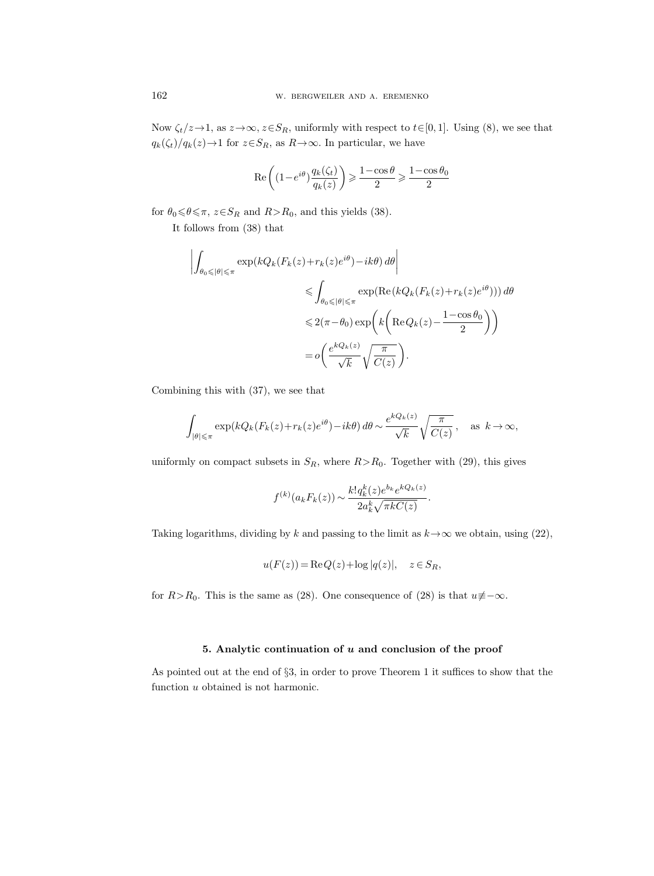Now  $\zeta_t/z \to 1$ , as  $z \to \infty$ ,  $z \in S_R$ , uniformly with respect to  $t \in [0, 1]$ . Using (8), we see that  $q_k(\zeta_t)/q_k(z){\rightarrow} 1$  for  $z{\in}S_R,$  as  $R{\rightarrow}\infty.$  In particular, we have

$$
\text{Re}\left((1-e^{i\theta})\frac{q_k(\zeta_t)}{q_k(z)}\right)\geqslant \frac{1-\cos\theta}{2}\geqslant \frac{1-\cos\theta_0}{2}
$$

for  $\theta_0 \le \theta \le \pi$ ,  $z \in S_R$  and  $R > R_0$ , and this yields (38).

It follows from (38) that

$$
\left| \int_{\theta_0 \leq |\theta| \leq \pi} \exp(kQ_k(F_k(z) + r_k(z)e^{i\theta}) - ik\theta) d\theta \right|
$$
  
\n
$$
\leq \int_{\theta_0 \leq |\theta| \leq \pi} \exp(\text{Re}(kQ_k(F_k(z) + r_k(z)e^{i\theta}))) d\theta
$$
  
\n
$$
\leq 2(\pi - \theta_0) \exp\left(k\left(\text{Re}Q_k(z) - \frac{1 - \cos \theta_0}{2}\right)\right)
$$
  
\n
$$
= o\left(\frac{e^{kQ_k(z)}}{\sqrt{k}} \sqrt{\frac{\pi}{C(z)}}\right).
$$

Combining this with (37), we see that

$$
\int_{|\theta| \leq \pi} \exp(kQ_k(F_k(z) + r_k(z)e^{i\theta}) - ik\theta) d\theta \sim \frac{e^{kQ_k(z)}}{\sqrt{k}} \sqrt{\frac{\pi}{C(z)}}, \text{ as } k \to \infty,
$$

uniformly on compact subsets in  $S_R$ , where  $R>R_0$ . Together with (29), this gives

$$
f^{(k)}(a_k F_k(z)) \sim \frac{k! q_k^k(z) e^{b_k} e^{kQ_k(z)}}{2a_k^k \sqrt{\pi k C(z)}}.
$$

Taking logarithms, dividing by k and passing to the limit as  $k \rightarrow \infty$  we obtain, using (22),

$$
u(F(z)) = \text{Re}\,Q(z) + \log|q(z)|, \quad z \in S_R,
$$

for  $R > R_0$ . This is the same as (28). One consequence of (28) is that  $u \neq -\infty$ .

## 5. Analytic continuation of  $u$  and conclusion of the proof

As pointed out at the end of §3, in order to prove Theorem 1 it suffices to show that the function  $u$  obtained is not harmonic.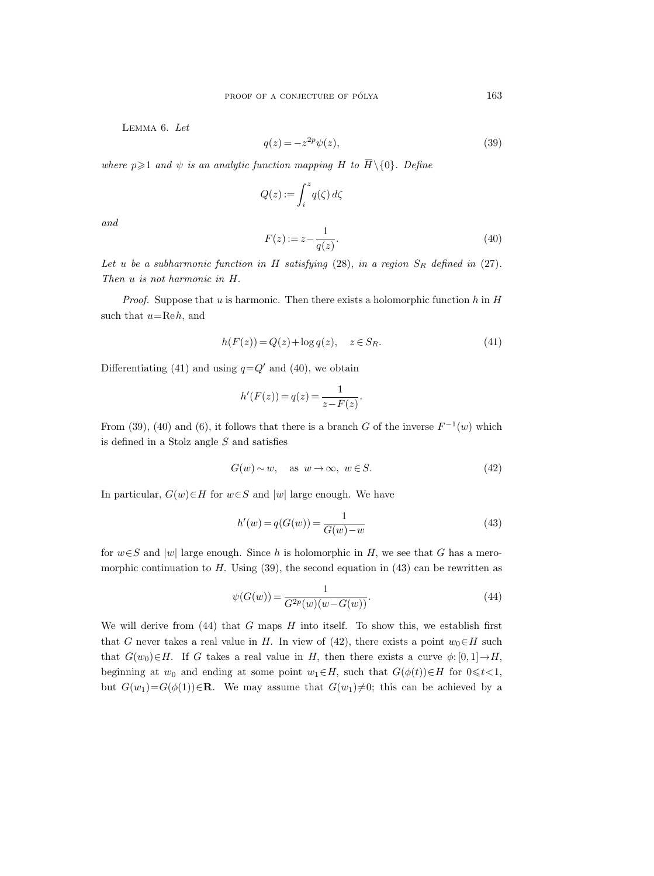Lemma 6. Let

$$
q(z) = -z^{2p}\psi(z),\tag{39}
$$

PROOF OF A CONJECTURE OF PÓLYA<br>LEMMA 6. Let<br> $q(z) = -z^{2p}\psi(z),$ <br>where  $p \geq 1$  and  $\psi$  is an analytic function mapping H to  $\overline{H}\setminus\{0\}$ . Define

$$
Q(z)\mathop{{:}{=}} \int_i^z q(\zeta)\,d\zeta
$$

and

$$
F(z) := z - \frac{1}{q(z)}.\tag{40}
$$

Let u be a subharmonic function in H satisfying  $(28)$ , in a region  $S_R$  defined in  $(27)$ . Then u is not harmonic in H.

*Proof.* Suppose that u is harmonic. Then there exists a holomorphic function h in  $H$ such that  $u=\text{Re }h$ , and

$$
h(F(z)) = Q(z) + \log q(z), \quad z \in S_R.
$$
\n
$$
(41)
$$

Differentiating (41) and using  $q=Q'$  and (40), we obtain

$$
h'(F(z)) = q(z) = \frac{1}{z - F(z)}.
$$

From (39), (40) and (6), it follows that there is a branch G of the inverse  $F^{-1}(w)$  which is defined in a Stolz angle  $S$  and satisfies

$$
G(w) \sim w, \quad \text{as } w \to \infty, \ w \in S. \tag{42}
$$

In particular,  $G(w) \in H$  for  $w \in S$  and  $|w|$  large enough. We have

$$
h'(w) = q(G(w)) = \frac{1}{G(w) - w}
$$
\n(43)

for  $w \in S$  and |w| large enough. Since h is holomorphic in H, we see that G has a meromorphic continuation to  $H$ . Using (39), the second equation in (43) can be rewritten as

$$
\psi(G(w)) = \frac{1}{G^{2p}(w)(w - G(w))}.
$$
\n(44)

We will derive from  $(44)$  that G maps H into itself. To show this, we establish first that G never takes a real value in H. In view of (42), there exists a point  $w_0 \in H$  such that  $G(w_0) \in H$ . If G takes a real value in H, then there exists a curve  $\phi: [0,1] \to H$ , beginning at  $w_0$  and ending at some point  $w_1 \in H$ , such that  $G(\phi(t)) \in H$  for  $0 \leq t < 1$ , but  $G(w_1)=G(\phi(1))\in\mathbf{R}$ . We may assume that  $G(w_1)\neq 0$ ; this can be achieved by a

163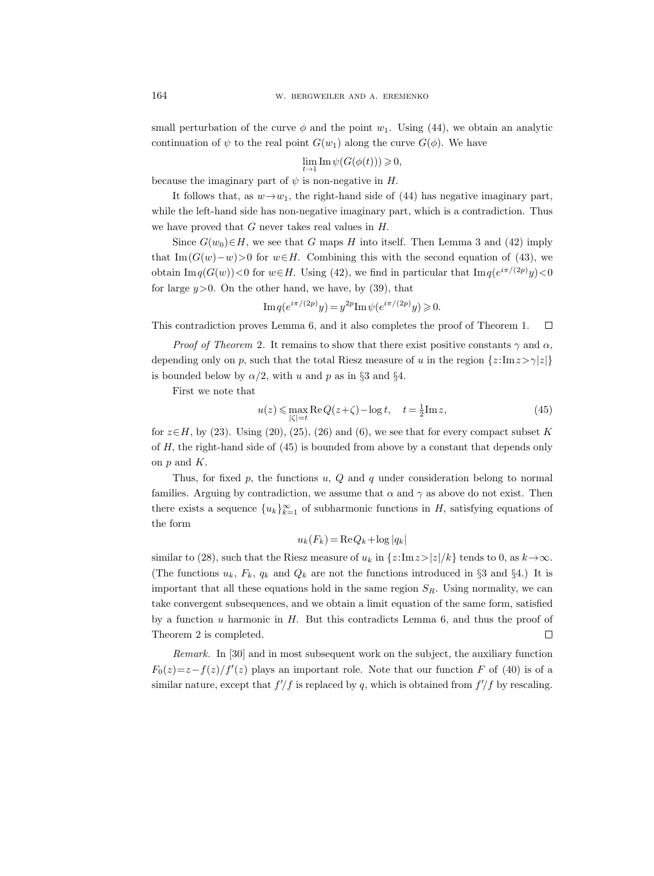small perturbation of the curve  $\phi$  and the point  $w_1$ . Using (44), we obtain an analytic continuation of  $\psi$  to the real point  $G(w_1)$  along the curve  $G(\phi)$ . We have

$$
\lim_{t\to 1}{\rm Im}\,\psi(G(\phi(t)))\geqslant 0,
$$

because the imaginary part of  $\psi$  is non-negative in H.

It follows that, as  $w \rightarrow w_1$ , the right-hand side of (44) has negative imaginary part, while the left-hand side has non-negative imaginary part, which is a contradiction. Thus we have proved that  $G$  never takes real values in  $H$ .

Since  $G(w_0) \in H$ , we see that G maps H into itself. Then Lemma 3 and (42) imply that Im  $(G(w)-w)$ >0 for  $w\in H$ . Combining this with the second equation of (43), we obtain  $\text{Im } q(G(w)) < 0$  for  $w \in H$ . Using (42), we find in particular that  $\text{Im } q(e^{i\pi/(2p)}y) < 0$ for large  $y>0$ . On the other hand, we have, by (39), that

Im 
$$
q(e^{i\pi/(2p)}y) = y^{2p} \text{Im } \psi(e^{i\pi/(2p)}y) \ge 0.
$$

This contradiction proves Lemma 6, and it also completes the proof of Theorem 1.  $\Box$ 

*Proof of Theorem 2.* It remains to show that there exist positive constants  $\gamma$  and  $\alpha$ , depending only on p, such that the total Riesz measure of u in the region  $\{z:\text{Im }z>\gamma|z|\}$ is bounded below by  $\alpha/2$ , with u and p as in §3 and §4.

First we note that

$$
u(z) \le \max_{|\zeta|=t} \text{Re}\,Q(z+\zeta) - \log t, \quad t = \frac{1}{2}\text{Im}\,z,\tag{45}
$$

for  $z \in H$ , by (23). Using (20), (25), (26) and (6), we see that for every compact subset K of H, the right-hand side of (45) is bounded from above by a constant that depends only on  $p$  and  $K$ .

Thus, for fixed  $p$ , the functions  $u$ ,  $Q$  and  $q$  under consideration belong to normal families. Arguing by contradiction, we assume that  $\alpha$  and  $\gamma$  as above do not exist. Then there exists a sequence  ${u_k}_{k=1}^{\infty}$  of subharmonic functions in H, satisfying equations of the form

$$
u_k(F_k) = \text{Re}\, Q_k + \log|q_k|
$$

similar to (28), such that the Riesz measure of  $u_k$  in  $\{z:\text{Im} z>|z|/k\}$  tends to 0, as  $k \to \infty$ . (The functions  $u_k$ ,  $F_k$ ,  $q_k$  and  $Q_k$  are not the functions introduced in §3 and §4.) It is important that all these equations hold in the same region  $S_R$ . Using normality, we can take convergent subsequences, and we obtain a limit equation of the same form, satisfied by a function  $u$  harmonic in  $H$ . But this contradicts Lemma 6, and thus the proof of  $\Box$ Theorem 2 is completed.

Remark. In [30] and in most subsequent work on the subject, the auxiliary function  $F_0(z)=z-f(z)/f'(z)$  plays an important role. Note that our function F of (40) is of a similar nature, except that  $f/f$  is replaced by q, which is obtained from  $f/f$  by rescaling.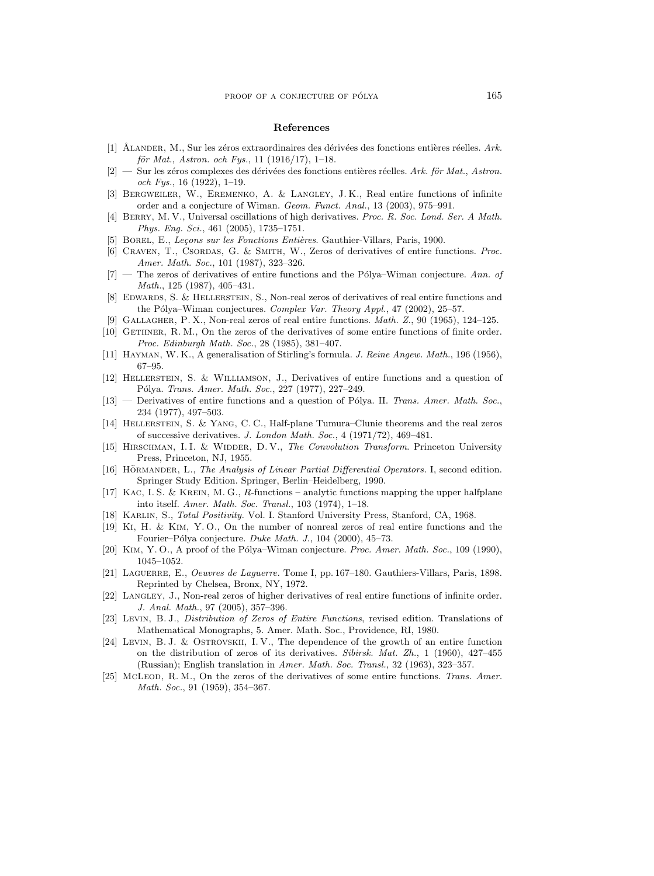#### References

- [1] ÅLANDER, M., Sur les zéros extraordinaires des dérivées des fonctions entières réelles. Ark. för Mat., Astron. och Fys., 11 (1916/17), 1-18.
- $[2]$  Sur les zéros complexes des dérivées des fonctions entières réelles. Ark. för Mat., Astron. och Fys., 16 (1922), 1–19.
- [3] Bergweiler, W., Eremenko, A. & Langley, J. K., Real entire functions of infinite order and a conjecture of Wiman. Geom. Funct. Anal., 13 (2003), 975–991.
- [4] BERRY, M. V., Universal oscillations of high derivatives. Proc. R. Soc. Lond. Ser. A Math. Phys. Eng. Sci., 461 (2005), 1735–1751.
- [5] BOREL, E., Leçons sur les Fonctions Entières. Gauthier-Villars, Paris, 1900.
- [6] Craven, T., Csordas, G. & Smith, W., Zeros of derivatives of entire functions. Proc. Amer. Math. Soc., 101 (1987), 323–326.
- $[7]$  The zeros of derivatives of entire functions and the Pólya–Wiman conjecture. Ann. of Math., 125 (1987), 405–431.
- [8] Edwards, S. & Hellerstein, S., Non-real zeros of derivatives of real entire functions and the Pólya–Wiman conjectures. Complex Var. Theory Appl., 47 (2002), 25–57.
- [9] Gallagher, P. X., Non-real zeros of real entire functions. Math. Z., 90 (1965), 124–125.
- [10] GETHNER, R. M., On the zeros of the derivatives of some entire functions of finite order. Proc. Edinburgh Math. Soc., 28 (1985), 381–407.
- [11] Hayman, W. K., A generalisation of Stirling's formula. J. Reine Angew. Math., 196 (1956), 67–95.
- [12] Hellerstein, S. & Williamson, J., Derivatives of entire functions and a question of Pólya. Trans. Amer. Math. Soc., 227 (1977), 227-249.
- [13] Derivatives of entire functions and a question of Pólya. II. Trans. Amer. Math. Soc., 234 (1977), 497–503.
- [14] Hellerstein, S. & Yang, C. C., Half-plane Tumura–Clunie theorems and the real zeros of successive derivatives. J. London Math. Soc., 4 (1971/72), 469–481.
- [15] HIRSCHMAN, I.I. & WIDDER, D.V., The Convolution Transform. Princeton University Press, Princeton, NJ, 1955.
- [16] HÖRMANDER, L., The Analysis of Linear Partial Differential Operators. I, second edition. Springer Study Edition. Springer, Berlin–Heidelberg, 1990.
- [17] Kac, I. S. & Krein, M. G., R-functions analytic functions mapping the upper halfplane into itself. Amer. Math. Soc. Transl., 103 (1974), 1–18.
- [18] Karlin, S., Total Positivity. Vol. I. Stanford University Press, Stanford, CA, 1968.
- [19] Ki, H. & Kim, Y. O., On the number of nonreal zeros of real entire functions and the Fourier–Pólya conjecture. Duke Math. J., 104 (2000), 45–73.
- [20] KIM, Y.O., A proof of the Pólya–Wiman conjecture. Proc. Amer. Math. Soc., 109 (1990), 1045–1052.
- [21] Laguerre, E., Oeuvres de Laguerre. Tome I, pp. 167–180. Gauthiers-Villars, Paris, 1898. Reprinted by Chelsea, Bronx, NY, 1972.
- [22] LANGLEY, J., Non-real zeros of higher derivatives of real entire functions of infinite order. J. Anal. Math., 97 (2005), 357–396.
- [23] Levin, B. J., Distribution of Zeros of Entire Functions, revised edition. Translations of Mathematical Monographs, 5. Amer. Math. Soc., Providence, RI, 1980.
- [24] Levin, B. J. & Ostrovskii, I. V., The dependence of the growth of an entire function on the distribution of zeros of its derivatives. Sibirsk. Mat. Zh., 1 (1960), 427–455 (Russian); English translation in Amer. Math. Soc. Transl., 32 (1963), 323–357.
- [25] McLeon, R. M., On the zeros of the derivatives of some entire functions. Trans. Amer. Math. Soc., 91 (1959), 354–367.